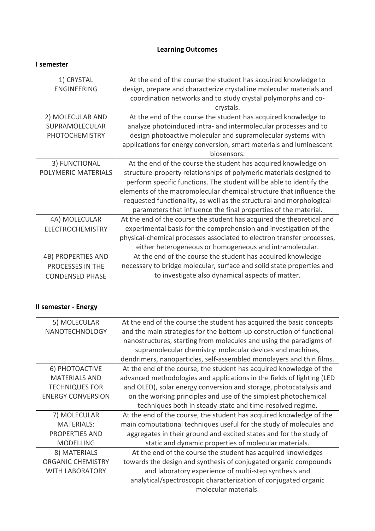# **Learning Outcomes**

#### **I semester**

| 1) CRYSTAL                | At the end of the course the student has acquired knowledge to         |
|---------------------------|------------------------------------------------------------------------|
| <b>ENGINEERING</b>        | design, prepare and characterize crystalline molecular materials and   |
|                           | coordination networks and to study crystal polymorphs and co-          |
|                           | crystals.                                                              |
| 2) MOLECULAR AND          | At the end of the course the student has acquired knowledge to         |
| SUPRAMOLECULAR            | analyze photoinduced intra- and intermolecular processes and to        |
| <b>PHOTOCHEMISTRY</b>     | design photoactive molecular and supramolecular systems with           |
|                           | applications for energy conversion, smart materials and luminescent    |
|                           | biosensors.                                                            |
| 3) FUNCTIONAL             | At the end of the course the student has acquired knowledge on         |
| POLYMERIC MATERIALS       | structure-property relationships of polymeric materials designed to    |
|                           | perform specific functions. The student will be able to identify the   |
|                           | elements of the macromolecular chemical structure that influence the   |
|                           | requested functionality, as well as the structural and morphological   |
|                           | parameters that influence the final properties of the material.        |
| 4A) MOLECULAR             | At the end of the course the student has acquired the theoretical and  |
| <b>ELECTROCHEMISTRY</b>   | experimental basis for the comprehension and investigation of the      |
|                           | physical-chemical processes associated to electron transfer processes, |
|                           | either heterogeneous or homogeneous and intramolecular.                |
| <b>4B) PROPERTIES AND</b> | At the end of the course the student has acquired knowledge            |
| PROCESSES IN THE          | necessary to bridge molecular, surface and solid state properties and  |
| <b>CONDENSED PHASE</b>    | to investigate also dynamical aspects of matter.                       |
|                           |                                                                        |

## **II semester - Energy**

| 5) MOLECULAR             | At the end of the course the student has acquired the basic concepts   |
|--------------------------|------------------------------------------------------------------------|
| NANOTECHNOLOGY           | and the main strategies for the bottom-up construction of functional   |
|                          | nanostructures, starting from molecules and using the paradigms of     |
|                          | supramolecular chemistry: molecular devices and machines,              |
|                          | dendrimers, nanoparticles, self-assembled monolayers and thin films.   |
| 6) PHOTOACTIVE           | At the end of the course, the student has acquired knowledge of the    |
| <b>MATERIALS AND</b>     | advanced methodologies and applications in the fields of lighting (LED |
| <b>TECHNIQUES FOR</b>    | and OLED), solar energy conversion and storage, photocatalysis and     |
| <b>ENERGY CONVERSION</b> | on the working principles and use of the simplest photochemical        |
|                          | techniques both in steady-state and time-resolved regime.              |
| 7) MOLECULAR             | At the end of the course, the student has acquired knowledge of the    |
| <b>MATERIALS:</b>        | main computational techniques useful for the study of molecules and    |
| <b>PROPERTIES AND</b>    | aggregates in their ground and excited states and for the study of     |
| <b>MODELLING</b>         | static and dynamic properties of molecular materials.                  |
| 8) MATERIALS             | At the end of the course the student has acquired knowledges           |
| <b>ORGANIC CHEMISTRY</b> | towards the design and synthesis of conjugated organic compounds       |
| <b>WITH LABORATORY</b>   | and laboratory experience of multi-step synthesis and                  |
|                          | analytical/spectroscopic characterization of conjugated organic        |
|                          | molecular materials.                                                   |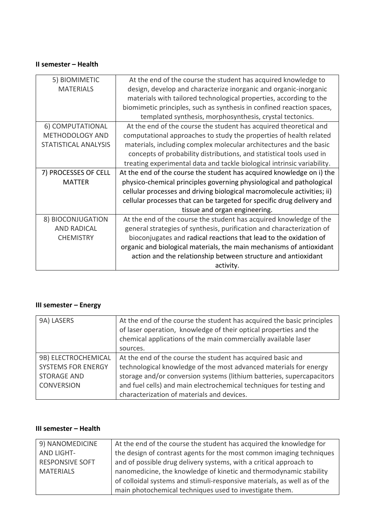#### **II semester – Health**

| 5) BIOMIMETIC        | At the end of the course the student has acquired knowledge to          |
|----------------------|-------------------------------------------------------------------------|
| <b>MATERIALS</b>     | design, develop and characterize inorganic and organic-inorganic        |
|                      | materials with tailored technological properties, according to the      |
|                      | biomimetic principles, such as synthesis in confined reaction spaces,   |
|                      | templated synthesis, morphosynthesis, crystal tectonics.                |
| 6) COMPUTATIONAL     | At the end of the course the student has acquired theoretical and       |
| METHODOLOGY AND      | computational approaches to study the properties of health related      |
| STATISTICAL ANALYSIS | materials, including complex molecular architectures and the basic      |
|                      | concepts of probability distributions, and statistical tools used in    |
|                      | treating experimental data and tackle biological intrinsic variability. |
| 7) PROCESSES OF CELL | At the end of the course the student has acquired knowledge on i) the   |
| <b>MATTER</b>        | physico-chemical principles governing physiological and pathological    |
|                      | cellular processes and driving biological macromolecule activities; ii) |
|                      | cellular processes that can be targeted for specific drug delivery and  |
|                      | tissue and organ engineering.                                           |
| 8) BIOCONJUGATION    | At the end of the course the student has acquired knowledge of the      |
| <b>AND RADICAL</b>   | general strategies of synthesis, purification and characterization of   |
| <b>CHEMISTRY</b>     | bioconjugates and radical reactions that lead to the oxidation of       |
|                      | organic and biological materials, the main mechanisms of antioxidant    |
|                      | action and the relationship between structure and antioxidant           |
|                      | activity.                                                               |
|                      |                                                                         |

## **III semester – Energy**

| 9A) LASERS                | At the end of the course the student has acquired the basic principles<br>of laser operation, knowledge of their optical properties and the<br>chemical applications of the main commercially available laser<br>sources. |
|---------------------------|---------------------------------------------------------------------------------------------------------------------------------------------------------------------------------------------------------------------------|
| 9B) ELECTROCHEMICAL       | At the end of the course the student has acquired basic and                                                                                                                                                               |
| <b>SYSTEMS FOR ENERGY</b> | technological knowledge of the most advanced materials for energy                                                                                                                                                         |
| <b>STORAGE AND</b>        | storage and/or conversion systems (lithium batteries, supercapacitors                                                                                                                                                     |
| <b>CONVERSION</b>         | and fuel cells) and main electrochemical techniques for testing and                                                                                                                                                       |
|                           | characterization of materials and devices.                                                                                                                                                                                |

#### **III semester – Health**

| 9) NANOMEDICINE        | At the end of the course the student has acquired the knowledge for      |
|------------------------|--------------------------------------------------------------------------|
| AND LIGHT-             | the design of contrast agents for the most common imaging techniques     |
| <b>RESPONSIVE SOFT</b> | and of possible drug delivery systems, with a critical approach to       |
| <b>MATERIALS</b>       | nanomedicine, the knowledge of kinetic and thermodynamic stability       |
|                        | of colloidal systems and stimuli-responsive materials, as well as of the |
|                        | main photochemical techniques used to investigate them.                  |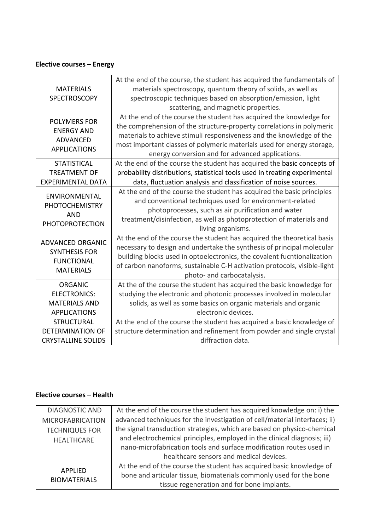## **Elective courses – Energy**

| <b>MATERIALS</b><br><b>SPECTROSCOPY</b>                                                  | At the end of the course, the student has acquired the fundamentals of<br>materials spectroscopy, quantum theory of solids, as well as<br>spectroscopic techniques based on absorption/emission, light<br>scattering, and magnetic properties.                                                                                                     |
|------------------------------------------------------------------------------------------|----------------------------------------------------------------------------------------------------------------------------------------------------------------------------------------------------------------------------------------------------------------------------------------------------------------------------------------------------|
| <b>POLYMERS FOR</b><br><b>ENERGY AND</b><br><b>ADVANCED</b><br><b>APPLICATIONS</b>       | At the end of the course the student has acquired the knowledge for<br>the comprehension of the structure-property correlations in polymeric<br>materials to achieve stimuli responsiveness and the knowledge of the<br>most important classes of polymeric materials used for energy storage,<br>energy conversion and for advanced applications. |
| <b>STATISTICAL</b><br><b>TREATMENT OF</b><br><b>EXPERIMENTAL DATA</b>                    | At the end of the course the student has acquired the basic concepts of<br>probability distributions, statistical tools used in treating experimental<br>data, fluctuation analysis and classification of noise sources.                                                                                                                           |
| ENVIRONMENTAL<br><b>PHOTOCHEMISTRY</b><br><b>AND</b><br><b>PHOTOPROTECTION</b>           | At the end of the course the student has acquired the basic principles<br>and conventional techniques used for environment-related<br>photoprocesses, such as air purification and water<br>treatment/disinfection, as well as photoprotection of materials and<br>living organisms.                                                               |
| <b>ADVANCED ORGANIC</b><br><b>SYNTHESIS FOR</b><br><b>FUNCTIONAL</b><br><b>MATERIALS</b> | At the end of the course the student has acquired the theoretical basis<br>necessary to design and undertake the synthesis of principal molecular<br>building blocks used in optoelectronics, the covalent fucntionalization<br>of carbon nanoforms, sustainable C-H activation protocols, visible-light<br>photo- and carbocatalysis.             |
| <b>ORGANIC</b><br><b>ELECTRONICS:</b><br><b>MATERIALS AND</b><br><b>APPLICATIONS</b>     | At the of the course the student has acquired the basic knowledge for<br>studying the electronic and photonic processes involved in molecular<br>solids, as well as some basics on organic materials and organic<br>electronic devices.                                                                                                            |
| <b>STRUCTURAL</b><br><b>DETERMINATION OF</b><br><b>CRYSTALLINE SOLIDS</b>                | At the end of the course the student has acquired a basic knowledge of<br>structure determination and refinement from powder and single crystal<br>diffraction data.                                                                                                                                                                               |

## **Elective courses – Health**

| <b>DIAGNOSTIC AND</b>          | At the end of the course the student has acquired knowledge on: i) the     |
|--------------------------------|----------------------------------------------------------------------------|
| <b>MICROFABRICATION</b>        | advanced techniques for the investigation of cell/material interfaces; ii) |
| <b>TECHNIQUES FOR</b>          | the signal transduction strategies, which are based on physico-chemical    |
| <b>HEALTHCARE</b>              | and electrochemical principles, employed in the clinical diagnosis; iii)   |
|                                | nano-microfabrication tools and surface modification routes used in        |
|                                | healthcare sensors and medical devices.                                    |
| APPLIED<br><b>BIOMATERIALS</b> | At the end of the course the student has acquired basic knowledge of       |
|                                | bone and articular tissue, biomaterials commonly used for the bone         |
|                                | tissue regeneration and for bone implants.                                 |